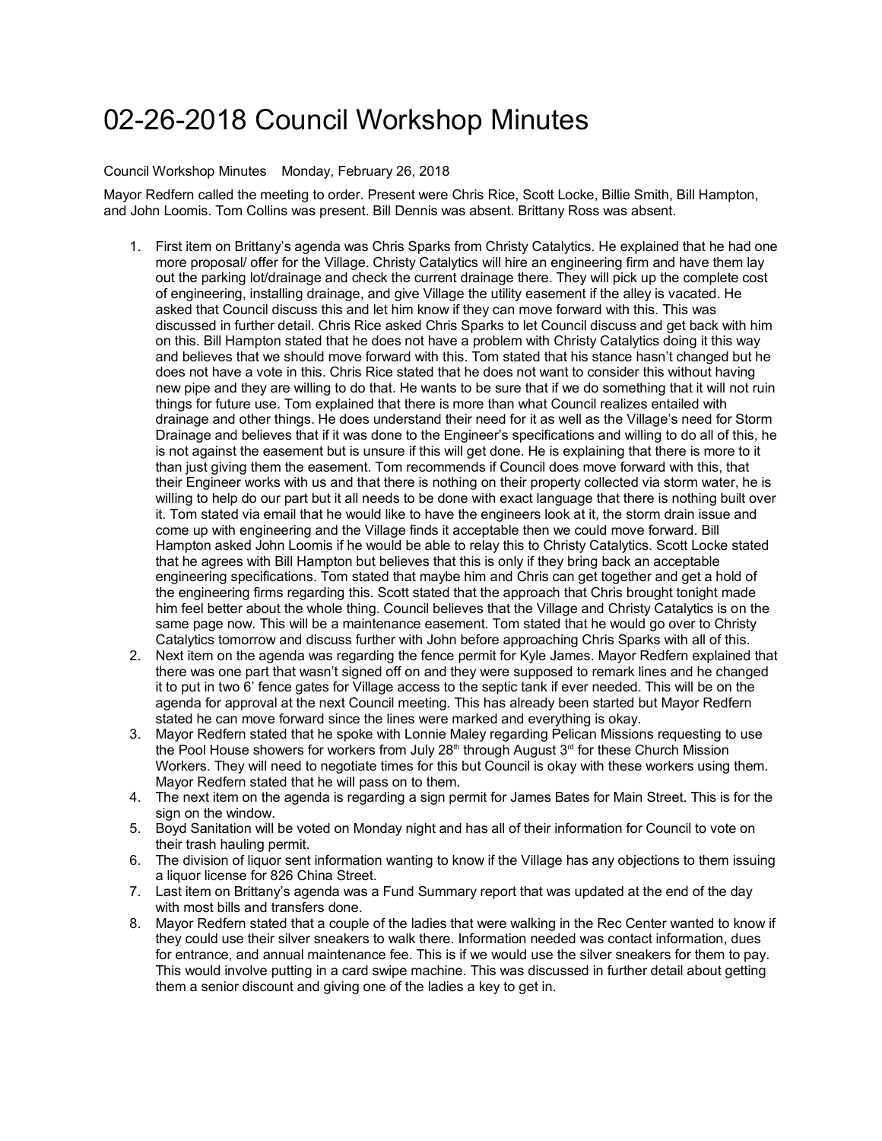## 02-26-2018 Council Workshop Minutes

## Council Workshop Minutes Monday, February 26, 2018

Mayor Redfern called the meeting to order. Present were Chris Rice, Scott Locke, Billie Smith, Bill Hampton, and John Loomis. Tom Collins was present. Bill Dennis was absent. Brittany Ross was absent.

- 1. First item on Brittany's agenda was Chris Sparks from Christy Catalytics. He explained that he had one more proposal/ offer for the Village. Christy Catalytics will hire an engineering firm and have them lay out the parking lot/drainage and check the current drainage there. They will pick up the complete cost of engineering, installing drainage, and give Village the utility easement if the alley is vacated. He asked that Council discuss this and let him know if they can move forward with this. This was discussed in further detail. Chris Rice asked Chris Sparks to let Council discuss and get back with him on this. Bill Hampton stated that he does not have a problem with Christy Catalytics doing it this way and believes that we should move forward with this. Tom stated that his stance hasn't changed but he does not have a vote in this. Chris Rice stated that he does not want to consider this without having new pipe and they are willing to do that. He wants to be sure that if we do something that it will not ruin things for future use. Tom explained that there is more than what Council realizes entailed with drainage and other things. He does understand their need for it as well as the Village's need for Storm Drainage and believes that if it was done to the Engineer's specifications and willing to do all of this, he is not against the easement but is unsure if this will get done. He is explaining that there is more to it than just giving them the easement. Tom recommends if Council does move forward with this, that their Engineer works with us and that there is nothing on their property collected via storm water, he is willing to help do our part but it all needs to be done with exact language that there is nothing built over it. Tom stated via email that he would like to have the engineers look at it, the storm drain issue and come up with engineering and the Village finds it acceptable then we could move forward. Bill Hampton asked John Loomis if he would be able to relay this to Christy Catalytics. Scott Locke stated that he agrees with Bill Hampton but believes that this is only if they bring back an acceptable engineering specifications. Tom stated that maybe him and Chris can get together and get a hold of the engineering firms regarding this. Scott stated that the approach that Chris brought tonight made him feel better about the whole thing. Council believes that the Village and Christy Catalytics is on the same page now. This will be a maintenance easement. Tom stated that he would go over to Christy Catalytics tomorrow and discuss further with John before approaching Chris Sparks with all of this.
- 2. Next item on the agenda was regarding the fence permit for Kyle James. Mayor Redfern explained that there was one part that wasn't signed off on and they were supposed to remark lines and he changed it to put in two 6' fence gates for Village access to the septic tank if ever needed. This will be on the agenda for approval at the next Council meeting. This has already been started but Mayor Redfern stated he can move forward since the lines were marked and everything is okay.
- 3. Mayor Redfern stated that he spoke with Lonnie Maley regarding Pelican Missions requesting to use the Pool House showers for workers from July 28<sup>th</sup> through August  $3<sup>rd</sup>$  for these Church Mission Workers. They will need to negotiate times for this but Council is okay with these workers using them. Mayor Redfern stated that he will pass on to them.
- 4. The next item on the agenda is regarding a sign permit for James Bates for Main Street. This is for the sign on the window.
- 5. Boyd Sanitation will be voted on Monday night and has all of their information for Council to vote on their trash hauling permit.
- 6. The division of liquor sent information wanting to know if the Village has any objections to them issuing a liquor license for 826 China Street.
- 7. Last item on Brittany's agenda was a Fund Summary report that was updated at the end of the day with most bills and transfers done.
- 8. Mayor Redfern stated that a couple of the ladies that were walking in the Rec Center wanted to know if they could use their silver sneakers to walk there. Information needed was contact information, dues for entrance, and annual maintenance fee. This is if we would use the silver sneakers for them to pay. This would involve putting in a card swipe machine. This was discussed in further detail about getting them a senior discount and giving one of the ladies a key to get in.